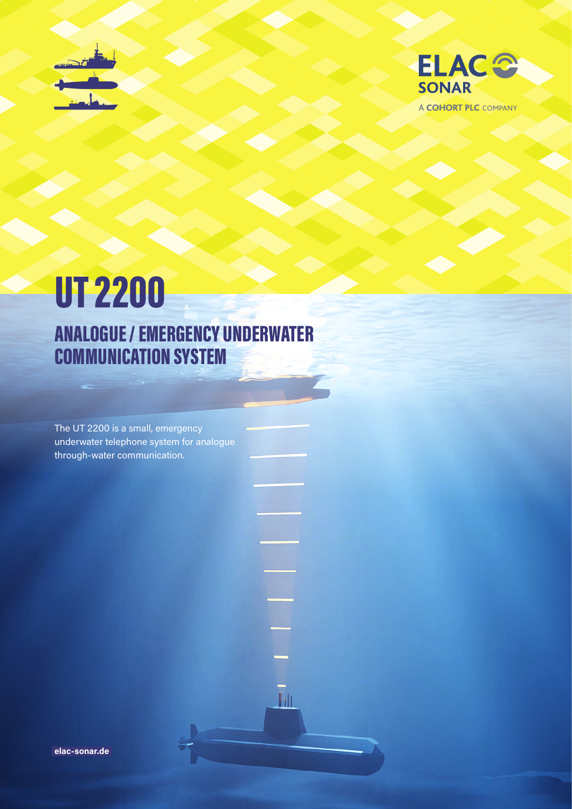



A COHORT PLC COMPANY

# UT 2200 ANALOGUE / EMERGENCY UNDERWATER COMMUNICATION SYSTEM

The UT 2200 is a small, emergency underwater telephone system for analogue through-water communication.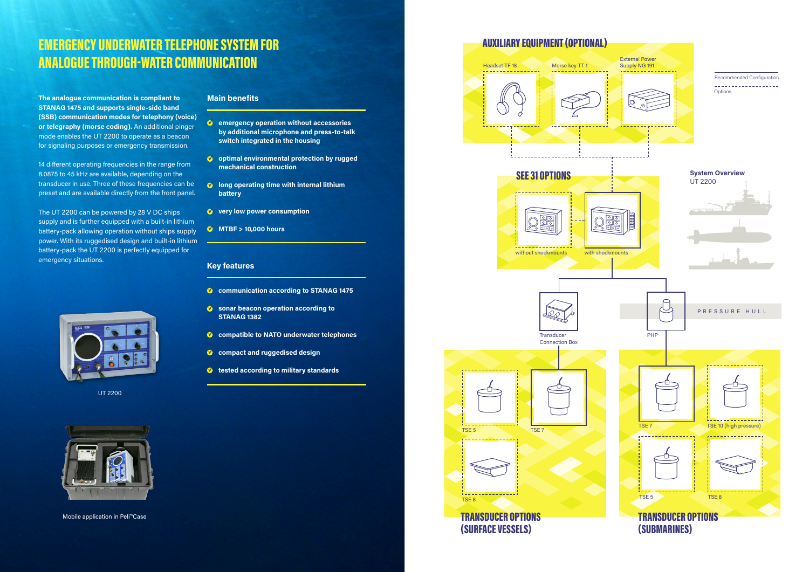## EMERGENCY UNDERWATER TELEPHONE SYSTEM FOR ANALOGUE THROUGH-WATER COMMUNICATION

#### **Key features**

- **C** communication according to STANAG 1475
- **Sonar beacon operation according to STANAG 1382**
- **compatible to NATO underwater telephones**
- **C** compact and ruggedised design
- **tested according to military standards**
- **emergency operation without accessories by additional microphone and press-to-talk switch integrated in the housing**
- **v** optimal environmental protection by rugged **mechanical construction**
- *M* long operating time with internal lithium **battery**
- **v** very low power consumption
- **MTBF > 10,000 hours**

#### **Main benefits**









### AUXILIARY EQUIPMENT (OPTIONAL)

**The analogue communication is compliant to STANAG 1475 and supports single-side band (SSB) communication modes for telephony (voice) or telegraphy (morse coding).** An additional pinger mode enables the UT 2200 to operate as a beacon for signaling purposes or emergency transmission.

14 different operating frequencies in the range from 8.0875 to 45 kHz are available, depending on the transducer in use. Three of these frequencies can be preset and are available directly from the front panel.

The UT 2200 can be powered by 28 V DC ships supply and is further equipped with a built-in lithium battery-pack allowing operation without ships supply power. With its ruggedised design and built-in lithium battery-pack the UT 2200 is perfectly equipped for emergency situations.



UT 2200



Mobile application in Peli™Case